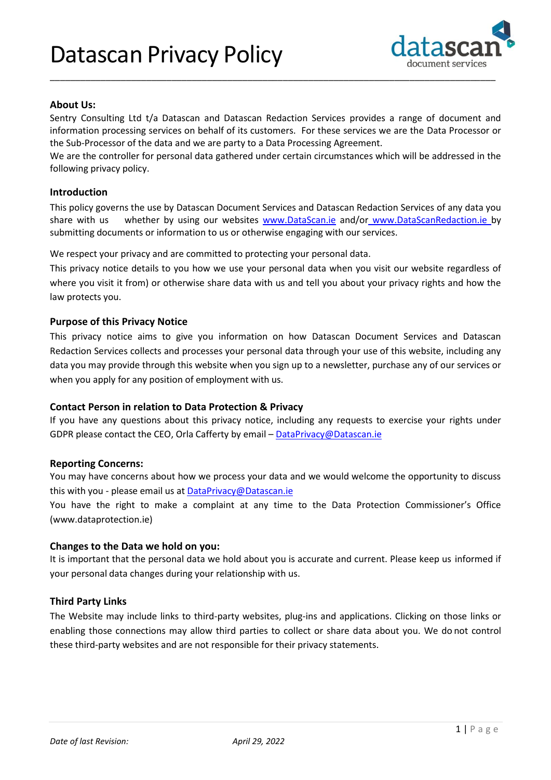

## **About Us:**

Sentry Consulting Ltd t/a Datascan and Datascan Redaction Services provides a range of document and information processing services on behalf of its customers. For these services we are the Data Processor or the Sub-Processor of the data and we are party to a Data Processing Agreement.

\_\_\_\_\_\_\_\_\_\_\_\_\_\_\_\_\_\_\_\_\_\_\_\_\_\_\_\_\_\_\_\_\_\_\_\_\_\_\_\_\_\_\_\_\_\_\_\_\_\_\_\_\_\_\_\_\_\_\_\_\_\_\_\_\_\_\_\_\_\_\_\_\_\_\_\_\_\_\_\_\_\_\_\_\_\_\_\_

We are the controller for personal data gathered under certain circumstances which will be addressed in the following privacy policy.

### **Introduction**

This policy governs the use by Datascan Document Services and Datascan Redaction Services of any data you share with us whether by using our websites [www.DataScan.ie](http://www.datascan.ie/) and/or www.DataScanRedaction.ie by submitting documents or information to us or otherwise engaging with our services.

We respect your privacy and are committed to protecting your personal data.

This privacy notice details to you how we use your personal data when you visit our website regardless of where you visit it from) or otherwise share data with us and tell you about your privacy rights and how the law protects you.

### **Purpose of this Privacy Notice**

This privacy notice aims to give you information on how Datascan Document Services and Datascan Redaction Services collects and processes your personal data through your use of this website, including any data you may provide through this website when you sign up to a newsletter, purchase any of our services or when you apply for any position of employment with us.

### **Contact Person in relation to Data Protection & Privacy**

If you have any questions about this privacy notice, including any requests to exercise your rights under GDPR please contact the CEO, Orla Cafferty by email - [DataPrivacy@Datascan.ie](mailto:DataPrivacy@Datascan.ie)

### **Reporting Concerns:**

You may have concerns about how we process your data and we would welcome the opportunity to discuss this with you - please email us at **[DataPrivacy@Datascan.ie](mailto:DataPrivacy@Datascan.ie)** 

You have the right to make a complaint at any time to the Data Protection Commissioner's Office (www.dataprotection.ie)

#### **Changes to the Data we hold on you:**

It is important that the personal data we hold about you is accurate and current. Please keep us informed if your personal data changes during your relationship with us.

### **Third Party Links**

The Website may include links to third-party websites, plug-ins and applications. Clicking on those links or enabling those connections may allow third parties to collect or share data about you. We do not control these third-party websites and are not responsible for their privacy statements.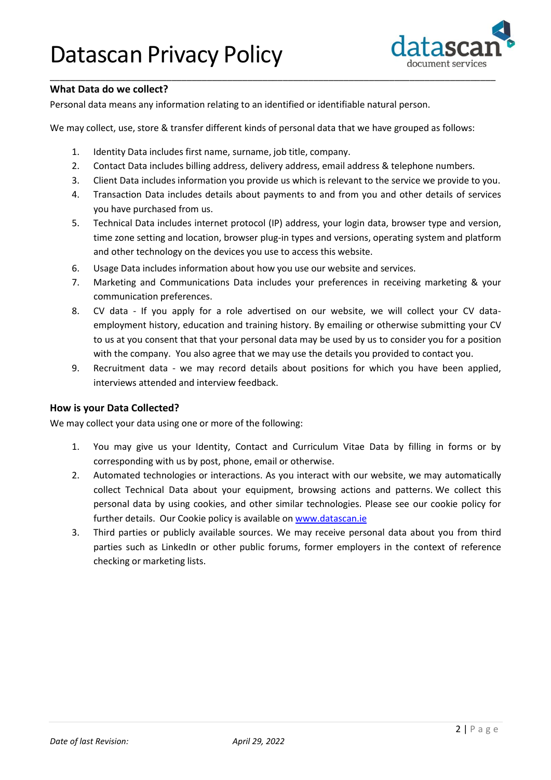

## **What Data do we collect?**

Personal data means any information relating to an identified or identifiable natural person.

We may collect, use, store & transfer different kinds of personal data that we have grouped as follows:

- 1. Identity Data includes first name, surname, job title, company.
- 2. Contact Data includes billing address, delivery address, email address & telephone numbers.

\_\_\_\_\_\_\_\_\_\_\_\_\_\_\_\_\_\_\_\_\_\_\_\_\_\_\_\_\_\_\_\_\_\_\_\_\_\_\_\_\_\_\_\_\_\_\_\_\_\_\_\_\_\_\_\_\_\_\_\_\_\_\_\_\_\_\_\_\_\_\_\_\_\_\_\_\_\_\_\_\_\_\_\_\_\_\_\_

- 3. Client Data includes information you provide us which is relevant to the service we provide to you.
- 4. Transaction Data includes details about payments to and from you and other details of services you have purchased from us.
- 5. Technical Data includes internet protocol (IP) address, your login data, browser type and version, time zone setting and location, browser plug-in types and versions, operating system and platform and other technology on the devices you use to access this website.
- 6. Usage Data includes information about how you use our website and services.
- 7. Marketing and Communications Data includes your preferences in receiving marketing & your communication preferences.
- 8. CV data If you apply for a role advertised on our website, we will collect your CV dataemployment history, education and training history. By emailing or otherwise submitting your CV to us at you consent that that your personal data may be used by us to consider you for a position with the company. You also agree that we may use the details you provided to contact you.
- 9. Recruitment data we may record details about positions for which you have been applied, interviews attended and interview feedback.

### **How is your Data Collected?**

We may collect your data using one or more of the following:

- 1. You may give us your Identity, Contact and Curriculum Vitae Data by filling in forms or by corresponding with us by post, phone, email or otherwise.
- 2. Automated technologies or interactions. As you interact with our website, we may automatically collect Technical Data about your equipment, browsing actions and patterns. We collect this personal data by using cookies, and other similar technologies. Please see our cookie policy for further details. Our Cookie policy is available on [www.datascan.ie](http://www.datascan.ie/)
- 3. Third parties or publicly available sources. We may receive personal data about you from third parties such as LinkedIn or other public forums, former employers in the context of reference checking or marketing lists.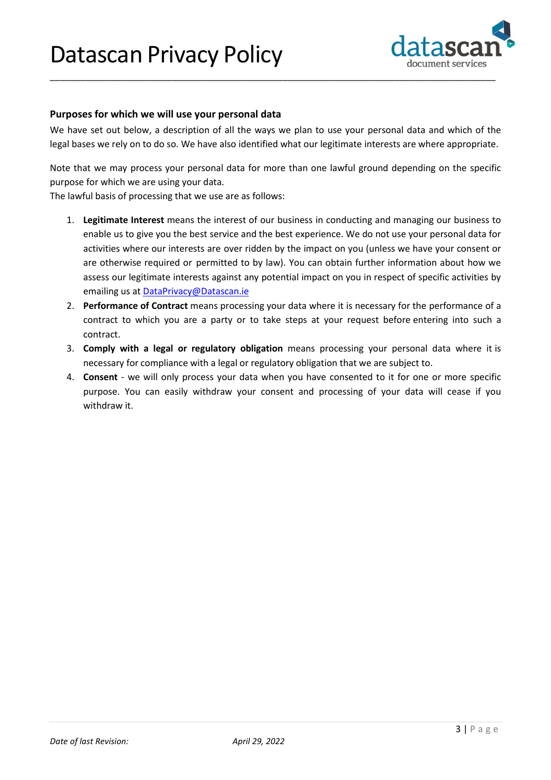

### **Purposes for which we will use your personal data**

We have set out below, a description of all the ways we plan to use your personal data and which of the legal bases we rely on to do so. We have also identified what our legitimate interests are where appropriate.

\_\_\_\_\_\_\_\_\_\_\_\_\_\_\_\_\_\_\_\_\_\_\_\_\_\_\_\_\_\_\_\_\_\_\_\_\_\_\_\_\_\_\_\_\_\_\_\_\_\_\_\_\_\_\_\_\_\_\_\_\_\_\_\_\_\_\_\_\_\_\_\_\_\_\_\_\_\_\_\_\_\_\_\_\_\_\_\_

Note that we may process your personal data for more than one lawful ground depending on the specific purpose for which we are using your data.

The lawful basis of processing that we use are as follows:

- 1. **Legitimate Interest** means the interest of our business in conducting and managing our business to enable us to give you the best service and the best experience. We do not use your personal data for activities where our interests are over ridden by the impact on you (unless we have your consent or are otherwise required or permitted to by law). You can obtain further information about how we assess our legitimate interests against any potential impact on you in respect of specific activities by emailing us at [DataPrivacy@Datascan.ie](mailto:DataPrivacy@Datascan.ie)
- 2. **Performance of Contract** means processing your data where it is necessary for the performance of a contract to which you are a party or to take steps at your request before entering into such a contract.
- 3. **Comply with a legal or regulatory obligation** means processing your personal data where it is necessary for compliance with a legal or regulatory obligation that we are subject to.
- 4. **Consent**  we will only process your data when you have consented to it for one or more specific purpose. You can easily withdraw your consent and processing of your data will cease if you withdraw it.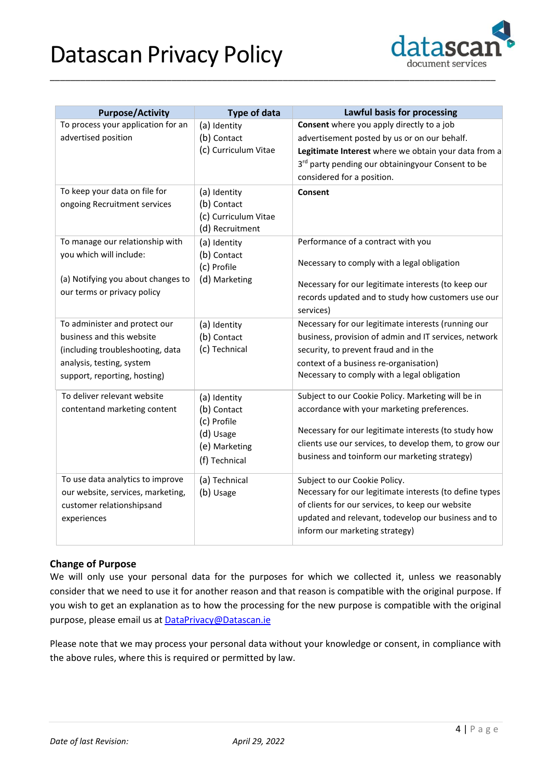# Datascan Privacy Policy



| <b>Purpose/Activity</b>                                                                                                                                     | <b>Type of data</b>                                                                       | Lawful basis for processing                                                                                                                                                                                                                                          |
|-------------------------------------------------------------------------------------------------------------------------------------------------------------|-------------------------------------------------------------------------------------------|----------------------------------------------------------------------------------------------------------------------------------------------------------------------------------------------------------------------------------------------------------------------|
| To process your application for an<br>advertised position                                                                                                   | (a) Identity<br>(b) Contact<br>(c) Curriculum Vitae                                       | Consent where you apply directly to a job<br>advertisement posted by us or on our behalf.<br>Legitimate Interest where we obtain your data from a<br>3rd party pending our obtainingyour Consent to be<br>considered for a position.                                 |
| To keep your data on file for<br>ongoing Recruitment services                                                                                               | (a) Identity<br>(b) Contact<br>(c) Curriculum Vitae<br>(d) Recruitment                    | Consent                                                                                                                                                                                                                                                              |
| To manage our relationship with<br>you which will include:<br>(a) Notifying you about changes to<br>our terms or privacy policy                             | (a) Identity<br>(b) Contact<br>(c) Profile<br>(d) Marketing                               | Performance of a contract with you<br>Necessary to comply with a legal obligation<br>Necessary for our legitimate interests (to keep our<br>records updated and to study how customers use our<br>services)                                                          |
| To administer and protect our<br>business and this website<br>(including troubleshooting, data<br>analysis, testing, system<br>support, reporting, hosting) | (a) Identity<br>(b) Contact<br>(c) Technical                                              | Necessary for our legitimate interests (running our<br>business, provision of admin and IT services, network<br>security, to prevent fraud and in the<br>context of a business re-organisation)<br>Necessary to comply with a legal obligation                       |
| To deliver relevant website<br>contentand marketing content                                                                                                 | (a) Identity<br>(b) Contact<br>(c) Profile<br>(d) Usage<br>(e) Marketing<br>(f) Technical | Subject to our Cookie Policy. Marketing will be in<br>accordance with your marketing preferences.<br>Necessary for our legitimate interests (to study how<br>clients use our services, to develop them, to grow our<br>business and toinform our marketing strategy) |
| To use data analytics to improve<br>our website, services, marketing,<br>customer relationshipsand<br>experiences                                           | (a) Technical<br>(b) Usage                                                                | Subject to our Cookie Policy.<br>Necessary for our legitimate interests (to define types<br>of clients for our services, to keep our website<br>updated and relevant, todevelop our business and to<br>inform our marketing strategy)                                |

\_\_\_\_\_\_\_\_\_\_\_\_\_\_\_\_\_\_\_\_\_\_\_\_\_\_\_\_\_\_\_\_\_\_\_\_\_\_\_\_\_\_\_\_\_\_\_\_\_\_\_\_\_\_\_\_\_\_\_\_\_\_\_\_\_\_\_\_\_\_\_\_\_\_\_\_\_\_\_\_\_\_\_\_\_\_\_\_

## **Change of Purpose**

We will only use your personal data for the purposes for which we collected it, unless we reasonably consider that we need to use it for another reason and that reason is compatible with the original purpose. If you wish to get an explanation as to how the processing for the new purpose is compatible with the original purpose, please email us at **[DataPrivacy@Datascan.ie](mailto:DataPrivacy@Datascan.ie)** 

Please note that we may process your personal data without your knowledge or consent, in compliance with the above rules, where this is required or permitted by law.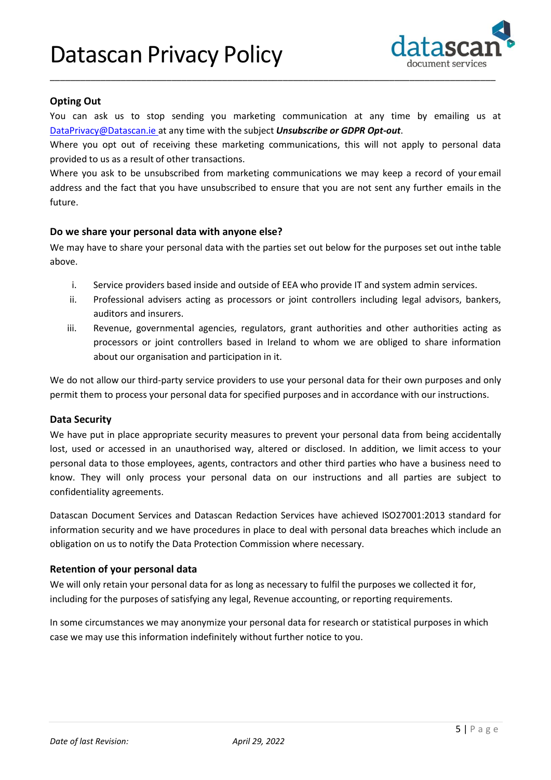## Datascan Privacy Policy



### **Opting Out**

You can ask us to stop sending you marketing communication at any time by emailing us at [DataPrivacy@Datascan.ie a](mailto:DataPrivacy@Datascan.ie)t any time with the subject *Unsubscribe or GDPR Opt-out*.

\_\_\_\_\_\_\_\_\_\_\_\_\_\_\_\_\_\_\_\_\_\_\_\_\_\_\_\_\_\_\_\_\_\_\_\_\_\_\_\_\_\_\_\_\_\_\_\_\_\_\_\_\_\_\_\_\_\_\_\_\_\_\_\_\_\_\_\_\_\_\_\_\_\_\_\_\_\_\_\_\_\_\_\_\_\_\_\_

Where you opt out of receiving these marketing communications, this will not apply to personal data provided to us as a result of other transactions.

Where you ask to be unsubscribed from marketing communications we may keep a record of your email address and the fact that you have unsubscribed to ensure that you are not sent any further emails in the future.

### **Do we share your personal data with anyone else?**

We may have to share your personal data with the parties set out below for the purposes set out inthe table above.

- i. Service providers based inside and outside of EEA who provide IT and system admin services.
- ii. Professional advisers acting as processors or joint controllers including legal advisors, bankers, auditors and insurers.
- iii. Revenue, governmental agencies, regulators, grant authorities and other authorities acting as processors or joint controllers based in Ireland to whom we are obliged to share information about our organisation and participation in it.

We do not allow our third-party service providers to use your personal data for their own purposes and only permit them to process your personal data for specified purposes and in accordance with our instructions.

### **Data Security**

We have put in place appropriate security measures to prevent your personal data from being accidentally lost, used or accessed in an unauthorised way, altered or disclosed. In addition, we limit access to your personal data to those employees, agents, contractors and other third parties who have a business need to know. They will only process your personal data on our instructions and all parties are subject to confidentiality agreements.

Datascan Document Services and Datascan Redaction Services have achieved ISO27001:2013 standard for information security and we have procedures in place to deal with personal data breaches which include an obligation on us to notify the Data Protection Commission where necessary.

### **Retention of your personal data**

We will only retain your personal data for as long as necessary to fulfil the purposes we collected it for, including for the purposes of satisfying any legal, Revenue accounting, or reporting requirements.

In some circumstances we may anonymize your personal data for research or statistical purposes in which case we may use this information indefinitely without further notice to you.